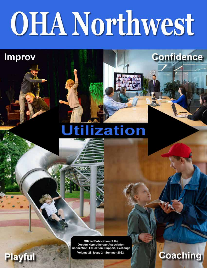# **OHA Northwest**

**Improv** 

Playful

## **Jtilization**

**Official Publication of the** Oregon Hypnotherapy Association **Connection, Education, Support, Exchange** Volume 28, Issue 2 - Summer 2022

## **Coaching**

**Confidence**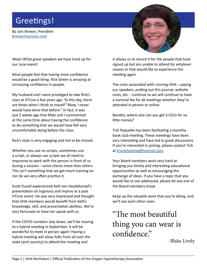## Greetings!

By Joni Brewer, President [BrewerHypnosis.com](http://brewerhypnosis.com)

Wow! What great speakers we have lined up for our June event!

Most people feel that having more confidence would be a good thing. Rick Green is amazing at increasing confidence in people.

My husband and I were privileged to take Rick's class at HTLive a few years ago. To this day, there are times when I think to myself "Wow, I never would have done that before." In fact, it was just 2 weeks ago that Mike and I commented at the same time about having the confidence to do something that we would have felt very uncomfortable doing before the class.

Rick's style is very engaging and not to be missed.

Whether you use no scripts, sometimes use a script, or always use scripts we all need to improvise to work with the person in front of us during a session – some clients more than others. This isn't something that we get much training on nor do we very often practice it.

Scott Duvall experienced Kelli von Heydekampf's presentation on hypnosis and improv at a past HTLive event. He was very impressed and thought that OHA members would benefit from Kelli's knowledge, skill, and presentation abilities. We're very fortunate to have her speak with us.

If the COVID numbers stay down, we'll be moving to a hybrid meeting in September. It will be wonderful to meet in person again! Having a hybrid meeting will allow folks from all over the state (and country) to attend the meeting and



it allows us to record it for the people that have signed up but are unable to attend for whatever reason or that would like to experience the meeting again.

The costs associated with running OHA – paying our speakers, putting out this journal, website costs, etc. - continue so we will continue to have a nominal fee for all meetings whether they're attended in person or online.

Besides, where else can you get 5 CEUs for so little money?

Tish Paquette has been facilitating a monthly book club meeting. These meetings have been very interesting and have led to great discussions. If you're interested in joining, please contact Tish at [triunehealing@hotmail.com.](mailto:triunehealing@hotmail.com)

Your Board members work very hard at bringing you timely and interesting educational opportunities as well as encouraging the exchange of ideas. If you have a topic that you would like to see addressed, please let any one of the Board members know.

Keep up the valuable work that you're doing, and we'll see each other soon.

## "The most beautiful thing you can wear is confidence."

- Blake Lively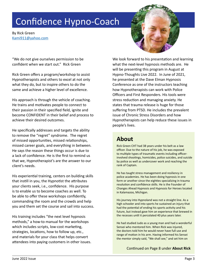## Confidence Hypno-Coach

By Rick Green [Kami911@yahoo.com](mailto:Kami911@yahoo.com)

"We do not give ourselves permission to be confident when we start out." Rick Green

Rick Green offers a program/workshop to assist Hypnotherapists and others to excel at not only what they do, but to inspire others to do the same and achieve a higher level of excellence.

His approach is through the vehicle of coaching. He trains and motivates people to connect to their passion in their specified field, ignite and become CONFIDENT in their belief and process to achieve their desired outcomes.

He specifically addresses and targets the ability to remove the "regret" syndrome. The regret of missed opportunities, missed relationships, missed career goals, and everything in between. He says the reason these things occur is due to a lack of confidence. He is the first to remind us that we, Hypnotherapist's are the answer to our client's needs.

His experiential training, centers on building skills that instill in you, the Hypnotist the attributes your clients seek, i.e., confidence. His purpose is to enable us to become coaches as well. To be able to offer these workshops confidently, commanding the room and the crowds and help you and them set the course and sail into success.

His training includes "the next level hypnosis methods," a how-to manual for the workshops which includes scripts, low-cost marketing, strategies, locations, how to follow up, etc., and materials for your class that helps convert attendees into paying customers in other issues. We look forward to his presentation and learning what the next-level hypnosis methods are. He will be presenting this program in August at Hypno-Thoughts Live 2022. In June of 2021, he presented at the Dave Elman Hypnosis Conference as one of the instructors teaching how Hypnotherapists can work with Police Officers and First Responders. His tools were stress reduction and managing anxiety. He states that trauma release is huge for those suffering from PTSD. He includes the prevalent issue of Chronic Stress Disorders and how Hypnotherapists can help reduce these issues in people's lives.

## **About**

Rick Green CHT had 38 years under his belt as a law officer. Due to the nature of his job, he was exposed to multiple types of traumatic events including officerinvolved shootings, homicides, police suicides, and suicide by police as well as undercover work and reaching the rank of Captain.

He has taught stress management and resiliency in police academies. He has been doing hypnosis in one form or another since the eighties specializing in trauma resolution and confidence skills. He is the Founder of Changes Ahead Hypnosis and Hypnosis for Heroes located in Kalamazoo, Michigan.

His journey into Hypnoland was not a straight line. As a high schooler and into sports he sustained an injury that had the potential of ending his sports activity and his future, but instead gave him an experience that brewed in the recesses until it percolated 40 plus years later.

He had studied Judo as a young man and had a wonderful Sensei who mentored him. When Rick was injured, the doctors told him he would never have full use and range of motion in his arm. Having informed his Sensei the mentor simply said, "We shall see," and set him on

[Continued on Page 8 under](#page-7-0) **About Rick**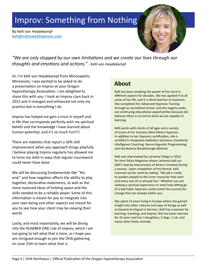## Improv: Something from Nothing

By Kelli von Heydekampf [kelli@metroeasthypnosis.com](mailto:kelli@metroeasthypnosis.com)



*"We are only stopped by our own limitations and we create our lives through our thoughts and emotions and actions."* - Kelli von Heydekampf

Hi, I'm Kelli von Heydekampf from Minneapolis, Minnesota. I was excited to be asked to do a presentation on Improv at your Oregon Hypnotherapy Association. I am delighted to share this with you. I took an Improv class back in 2015 and it changed and enhanced not only my practice but in everything I do.

Improv has helped me gain a trust in myself and in life that corresponds perfectly with my spiritual beliefs and the knowledge I have learned about human potential, and it's so much fun!!!!

There are statistics that report a 30% skill improvement when you approach things playfully. I believe playing Improv regularly has allowed me to hone my skills in ways that regular coursework could never have done.

We will be discussing fundamentals like "Yes and," and how negation affects the ability to play together, declarative statements, as well as the more nuanced ideas of holding space and the skills needed to be a reliable player. Some of this information is meant for you to integrate into your own being and other aspects are meant for you to see how your client may be viewing their world.

Lastly, and most importantly, we will be diving into the NUMBER ONE rule of Improv, which I am not going to tell what that is here, so I hope you are intrigued enough to join the OHA gathering on June 25th to learn what that is.

### **About**

Kelli has been studying the power of the mind in different aspects for decades. She has applied it to all areas of her life, and it is what lead her to Hypnosis. She completed her Advanced Hypnosis Training through an accredited school, and she eagerly seeks out continuing educational opportunities because she believes there is no end to what we are capable of learning.

Kelli works with clients of all ages and a variety of issues at her business West Metro Hypnosis. In addition to her Hypnosis certification, she is certified in Integrative Addiction Solutions, Emotional Intelligence Coaching, Neuro-linguistic Programming, and the Bulimia Breakthrough Method.

Kelli was interviewed by Latreena Felegy in 2016 for their Edina Magazine where Latreena laid out Kelli's step-by-step process of what is involved during a session. Upon completion of the format, Kelli summed up her work by stating, "My job is really to awaken people to the inner resources that each and every one of us already has." Whether you are seeking a spiritual experience or need help letting go of a bad habit, hypnosis could unlock the sources for change that are already within you.

She spent 13 years living in Europe where she gained insight into other cultures and ways of livings as well as became bi-lingual in German. Kelli has a passion for learning, traveling, and Improv. She has been married for 25 years and has 3 daughters, 2 dogs, 1 cat, and many other foster animals.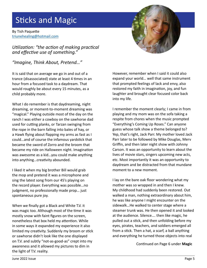## Sticks and Magic

By Tish Paquette [triunehealing@hotmail.com](mailto:triunehealing@hotmail.com)

*Utilization: "the action of making practical and effective use of something."*

*"Imagine, Think About, Pretend…"*

It is said that on average we go in and out of a trance (disassociated) state at least 4 times in an hour from a focused task to a daydream. That would roughly be about every 15 minutes, as a child probably more.

What I do remember is that daydreaming, night dreaming, or moment-to-moment dreaming was "magical." Playing outside most of the day on the ranch I was either a cowboy on the sawhorse dad used for cutting planks, or Tarzan swinging from the rope in the barn falling into bales of hay, or a Hawk flying about flapping my arms as fast as I could…and of course the infamous yardstick that became the sword of Zorro and the broom that became my ride on Halloween night. Imagination was awesome as a kid…you could make anything into anything…creativity abounded.

I liked it when my big brother Bill would grab the mop and pretend it was a microphone and sing the latest song from our 45's playing on the record player. Everything was possible…no judgment, no professionally made prop… just spontaneous pure joy.

When we finally got a Black and White T.V. it was magic too. Although most of the time it was mostly snow with faint figures on the screen, nonetheless that box held my attention. While in some ways it expanded my experience it also limited my creativity. Suddenly my broom or stick or sawhorse didn't look like the one displayed on T.V. and subtly "not-as-good-as" crept into my awareness and it allowed my pictures to dim in the light of T.V. reality.



I remember the moment clearly; I came in from playing and my mom was on the sofa taking a respite from chores when the music prompted "Everything's Coming Up Roses." Can anyone guess whose talk show a theme belonged to? Yep, that's right, Jack Parr. My mother loved Jack Parr later to be followed by Mike Douglas, Merv Griffin, and then later night show with Johnny Carson. It was an opportunity to learn about the lives of movie stars, singers upcoming new acts, etc. Most importantly it was an opportunity to daydream and be distracted from that mundane moment to a new moment.

I lay on the bare oak floor wondering what my mother was so wrapped in and then I knew. My childhood had suddenly been restored. Out walked a man, nothing extraordinary about him, he was like anyone I might encounter on the sidewalk…He walked to center stage where a steamer trunk was. He then opened it and looked at the audience. Silence…. then like magic, he pulled out a stick, and then unfolding before my eyes, pirates, teachers, and soldiers emerged all from a stick. Then a hat, a scarf, a ball anything and everything he turned those objects into real

[Continued on Page 6 under](#page-5-0) **Magic**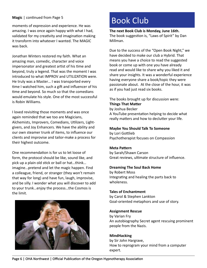#### <span id="page-5-0"></span>**Magic** | continued from Page 5

moments of expression and experience. He was amazing. I was once again happy with what I had, validated for my creativity and imagination making it transform into whatever I wanted. The MAGIC was back.

Jonathan Winters restored my faith. What an amazing man, comedic, character and voice impersonator and greatest artist of his time and beyond, truly a legend. That was the moment I was introduced to what IMPROV and UTILIZATION were. He truly was a Master… I was transported every time I watched him, such a gift and influencer of his time and beyond. So much so that the comedians would emulate his style. One of the most successful is Robin Williams.

I loved revisiting those moments and was once again reminded that we too are Magicians, Alchemists, Improvers, Comedians, Utilizers, Lightgivers, and Joy Enhancers. We have the ability and our own steamer trunk of items, to influence our clients and improvise and tailor-make a process for their highest outcome.

One recommendation is for us to let loose of form, the protocol should be like, sound like, and pick up a plain old stick or ball or hat…think… imagine…pretend and let the magic happen. Find a colleague, friend, or stranger (they won't remain that way for long) and have fun, laugh, improvise, and be silly. I wonder what you will discover to add to your trunk…enjoy the process…the Cosmos is the limit.



## Book Club

**The next Book Club is Monday, June 16th.** The book suggestion is, "Laws of Spirit" by Dan Millman.

Due to the success of the "Open Book Night," we have decided to make our club a Hybrid. That means you have a choice to read the suggested book or come up with one you have already read and would like to share why you liked it and share your insights. It was a wonderful experience having everyone share a book/topic they were passionate about. At the close of the hour, it was as if you had just read six books.

The books brought up for discussion were: **Things That Matter** by Joshua Becker A YouTube presentation helping to decide what really matters and how to declutter your life.

**Maybe You Should Talk To Someone** by Lori Gottlieb

Psychotherapist focuses on Compassion

#### **Meta Pattern**

by Sarah/Shawn Carson Great reviews, ultimate structure of influence.

#### **Dreaming The Soul Back Home**

by Robert Moss Integrating and healing the parts back to wholeness.

#### **Tales of Enchantment**

by Carol & Stephen Lankton Goal-oriented metaphors and use of story.

#### **Assignment Rescue**

by Varian Fry An autobiography Secret agent rescuing prominent people from the Nazis.

#### **MindHacking**

by Sir John Hargrave, How to reprogram your mind from a computer expert.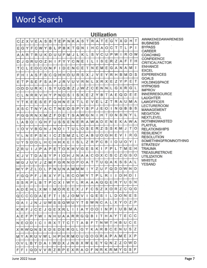## Word Search

#### **Utilization**

| С | Ζ                   | х            | V           | Ε    | А      | S | в  | т               |              | EP           |   | NK           | A            | S               | т            | R   | Α              | Т            | Ε            | G | Υ            | ΧI | D | н | т | <b>AWAKEN</b>                    |
|---|---------------------|--------------|-------------|------|--------|---|----|-----------------|--------------|--------------|---|--------------|--------------|-----------------|--------------|-----|----------------|--------------|--------------|---|--------------|----|---|---|---|----------------------------------|
| Ε | G                   | Υ            | F           | С    | W      | Υ | В  | L               | P            | B            | κ | Т            | G            | И               | ı            | н   | С              | Α            | O            | С | Т            | Т  | L | P | Ł | <b>BUSINE</b><br><b>BYPASS</b>   |
| Α | А                   | R            | T.          | R    | U      | κ | D  | U               | U            | F            | M | J            | L            | Κ               | L            | S   | ν              | C            | U            | P | W            | 1  | R | O | W | <b>CAREEF</b><br><b>COACHI</b>   |
| D | J                   | G            | R           | U    | O      | Z | Н  | 1               | $\mathsf{F}$ | Υ            | Υ | C            | N            | E               | I.           | L   | 1              | S            | Ε            | R | Z            | Α  | F | т | н | <b>CONFID</b><br>CRITICA         |
| т | С                   | L            | E           | Ο    | С      | O | N  | F               | ı            | D            | Е | Ν            | С            | E               | Т            | N   | E              | M            | Ε            | G | Α            | N  | Α | M | ı | <b>ENHANO</b>                    |
| F | н                   | ı            | Α           | S    | F      | в | С  | Q               |              | HH           | D | U            | R            | S               | x            | J   | v              | E            | Υ            | R | н            | В  | M | D | S | <b>EXCEL</b><br><b>EXPERIE</b>   |
| Ε | T                   | P            | sl          | E    | F      | S | Α  | P               | J            | R            | v | U            | V            | R               | N            | L   | x <sub>1</sub> | R            | x            | E | Z            | Υ  | P | Ε | т | <b>GOALS</b><br><b>HOLDIN</b>    |
| O | D                   | D            | U           | R    | κ      | ı | S  | Υ               | U            | Q            | в | Z            | J            | W               | Z            | C   | E              | N            | N            | L | G            | X  | R | G | L | <b>HYPNOS</b><br><b>IMPROV</b>   |
| С |                     | Ν            | R           | R    | ν      | н | Y  | P               | N            | O            | S | $\mathbf{I}$ | S            | κ               | E            | Z   | Y              | B            | Т            | А | Ε            | Q  | D | Ε | E | <b>INNERRI</b>                   |
| Υ | Т                   | Κ            | E.          | E    | S      | E | F  | Q               |              | H N          | Ε | х            | T            | Г               | E            | V   | E              | L            | Z            | T | R            | А  | U | М | Α | <b>LAUGHT</b><br>LAWOFF          |
| Χ | s                   | C            | T           | N    | Υ      | Α | C  | T               | Νİ           | Е            | D | S            | P            | Υ               | S            | Ρ   | J              | E            | O            | ı | N            | G  | в | в | S | <b>LECTUR</b><br><b>MANAGE</b>   |
| P | G                   | G            | R           | N    | x      | M | Z  | F               | D            | Ε            | Т | S            | А            | W               | G            | N   | ı              | Η            | T I          | O | Ν            | S  | Ν | Υ | L | <b>NEGATIO</b><br><b>NEXTLE</b>  |
| L | А                   | B            | O           | ı    | G      | н | F  | U               | S            | S            | E | N            | E            | R               | Α            | W   | A              | D            | E.           | N | E            | κ  | Α | W | А | <b>NOTHIN</b>                    |
| ı | O                   | v            | V           | В    | G      | Ν | J  | Ν               | O            | 1            | T | U            | L            | O               | S            | E   | R              | Z            | S            | S | κ            | M  | J | Т | O | PLAYFUI<br><b>RELATIC</b>        |
| Υ |                     | N            | E           | P    | S      | Κ | ı  | C               | Z            | S            | M | Z            | L            | С               | А            | B   | U              | O            | G            | Н | E            | v  | ı | R | G | <b>RESILIEI</b><br><b>RESOLU</b> |
| U | Υ                   | S            | D           | O    | L      | н | C  | H               | н            | X            | Ε | ı            | S            | L               | Z            | R   | P              | C            | B            | I | O            | U  | O | Y | f | <b>SOMETH</b><br><b>STRATE</b>   |
| Z | R                   | U            | L           | J    | P      | А | P  | E               | Т            | O            | κ | н            | V            | G               | Ε            | S   | κI             | I            | F            | P | L            | T  | M | Ε | н | <b>TRAUMA</b>                    |
| Κ | J                   | v            | т           | D    | Α      | S | Y  | P               | 1            | O            | н | J            | N            | Α               | Α            | C   | O              | Х            | C            | S | С            | Ζ  | G | S | O | TREASU<br><b>UTILIZAT</b>        |
| M | G                   | J            | U           | V    | J      | Z | M  | F               | G            | $\mathsf{R}$ | N | O            | P            | O               | Α            | Т   | Т              | U            | Q            | Α | κ            | S  | S | Α | L | <b>WHISTLI</b><br>YESAND         |
| W | Υ                   | P            | Ζl          | L    | O      | L | P  | N               | U            | N            | Α | $M$ $M$      |              | M               | 1            | Υ   | Ζ              | U            | F            | Q | D            | D  | W | Ν | D |                                  |
| F | G                   | Q            | P           | F    | J      | R | х  | Υ               | F            | Г            | R | C            | O            | W               | Y            | T   | P              | L            | R            | п | ı            | D  | Н | D | ı |                                  |
| S | sl                  | R            | P           | L    | B      | T | P  | C               | Χ            | L            | W | Y            | L            | R               | Α            | А   | $\mathsf{A}$   | Q            | Q            | E | R            | Υ  | U | S | N |                                  |
|   | A D                 |              | E H         | L    | Χ      | M | I  | M               | O            | R            | E | E)           | Χ            | J               | F            | С   | S              | Z            | Χ            | O | R            | z  | ◠ | Q | G |                                  |
| Q | <sub>C</sub>        | С            | C           | D    | Α      | Ε | FI | т               | $\mathbf{I}$ | S            |   | J O M        |              | V               | $\mathbf{I}$ | G   | Ε              | S            | $\mathbf{I}$ | L | D            | O  | N | Ε | S |                                  |
|   | G A                 | $\mathbf{I}$ |             | J[N] | J      | U | W  | S.              |              | S G          | W | U            | Υ            | T               | S            | W   | N              | С            | Α            | L | х            | Υ  | Ο | Z | P |                                  |
|   | K R I               | F            |             | J C  | Ε      | J |    | G[E X R]        |              |              | L | Н            | ı            | A               | Y            | O   | 0              | $\mathbf{I}$ | N            | Ρ | Ł            | U  | В | M | Α |                                  |
|   | AIEI                |              | FIPI        | T.   | W      | L |    | $N$ $H$ $U$ $A$ |              |              |   | A R R        |              | G               | Q            | В   | $\mathbb{I}$   | т            | H            | Α | Y            | т  | Ε | С | С |                                  |
|   | NE                  |              | O D         | L    | С      | L | R  | X               | T.           | IΤI          | С | ΤI           | Т            | A               | в            | F   | т              | И            | W            | Т | н            | в  | U | С | Ε |                                  |
|   | $X$ $R$ $W$ $Q$ $N$ |              |             |      | S      | Х | D  | E               |              | D E          |   | R G L        |              | G               | Υ            | κ   | $\mathsf{A}$   | R            | $\mathsf{B}$ | С | Е            | Ν  | U | S | Z |                                  |
|   | M Y                 |              | $A$ $R$ $U$ |      | $\vee$ | W | L  | н р н           |              |              |   |              |              | $R$ $M$ $O$ $U$ |              | Q O |                | G R          | A            | P | $\mathsf{A}$ | M  | Ε | х | P |                                  |
| O |                     | L            | B           | Y    | D      | Α | 1  | W               | D            | X            | J | N            | В            | $\times$        | W            | Е   | E              | Υ            | Q            | Ν | Ζ            | Z  | O | W | D |                                  |
| F | F                   | L            | QID         |      | v      | v | R  | Z               | $\mathsf{R}$ | P            | E | $\times$     | $\mathsf{R}$ | A               | O            | F.  | N              | R            | κI           | R | М            | Y  | G | S | F |                                  |

**NEDAWARENESS** SS ₹ ING **ENCE** LFACTOR CЕ **ENCES GSPACE** SIS **ESOURCE** ER **ICER EROOM EMENT** ON VEL. **GWASTED ONSHIPS NCY TION HINGFROMNOTHING** GY ł **IRETROVE TION** E